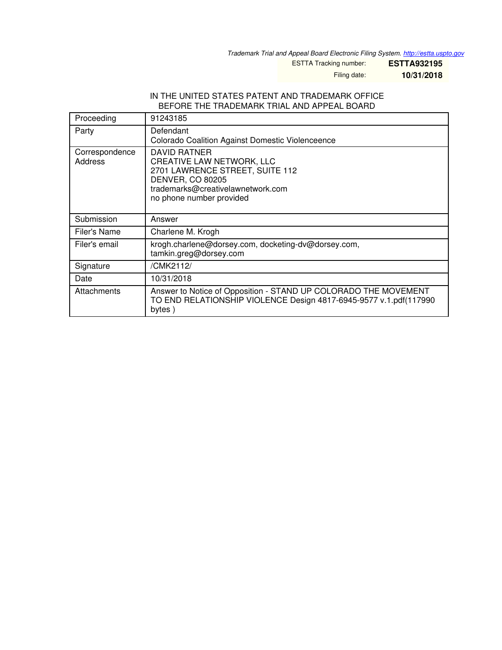*Trademark Trial and Appeal Board Electronic Filing System. <http://estta.uspto.gov>*

ESTTA Tracking number: **ESTTA932195**

Filing date: **10/31/2018**

#### IN THE UNITED STATES PATENT AND TRADEMARK OFFICE BEFORE THE TRADEMARK TRIAL AND APPEAL BOARD

| Proceeding                | 91243185                                                                                                                                                                        |
|---------------------------|---------------------------------------------------------------------------------------------------------------------------------------------------------------------------------|
| Party                     | Defendant<br>Colorado Coalition Against Domestic Violenceence                                                                                                                   |
| Correspondence<br>Address | DAVID RATNER<br><b>CREATIVE LAW NETWORK, LLC</b><br>2701 LAWRENCE STREET, SUITE 112<br><b>DENVER, CO 80205</b><br>trademarks@creativelawnetwork.com<br>no phone number provided |
| Submission                | Answer                                                                                                                                                                          |
| Filer's Name              | Charlene M. Krogh                                                                                                                                                               |
| Filer's email             | krogh.charlene@dorsey.com, docketing-dv@dorsey.com,<br>tamkin.greg@dorsey.com                                                                                                   |
| Signature                 | /CMK2112/                                                                                                                                                                       |
| Date                      | 10/31/2018                                                                                                                                                                      |
| Attachments               | Answer to Notice of Opposition - STAND UP COLORADO THE MOVEMENT<br>TO END RELATIONSHIP VIOLENCE Design 4817-6945-9577 v.1.pdf(117990<br>bytes)                                  |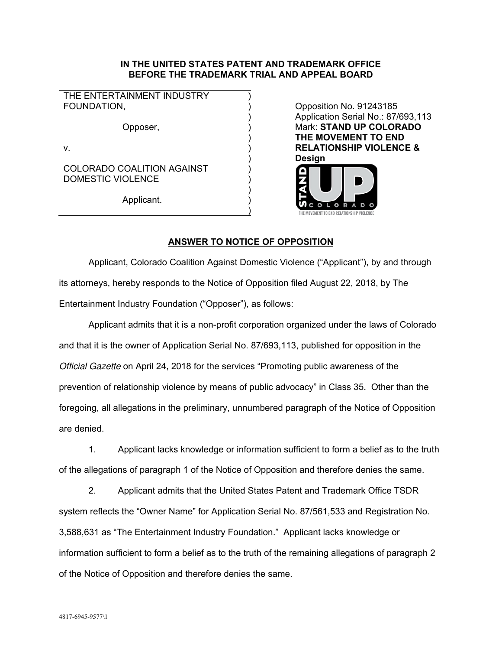### **IN THE UNITED STATES PATENT AND TRADEMARK OFFICE BEFORE THE TRADEMARK TRIAL AND APPEAL BOARD**

THE ENTERTAINMENT INDUSTRY FOUNDATION.

Opposer, )

)

 $)$ 

)

 $)$ 

v.  $\qquad \qquad \qquad$ 

 ) COLORADO COALITION AGAINST DOMESTIC VIOLENCE

Applicant.

Opposition No. 91243185 Application Serial No.: 87/693,113 Mark: **STAND UP COLORADO THE MOVEMENT TO END RELATIONSHIP VIOLENCE & Design** 



## **ANSWER TO NOTICE OF OPPOSITION**

Applicant, Colorado Coalition Against Domestic Violence ("Applicant"), by and through its attorneys, hereby responds to the Notice of Opposition filed August 22, 2018, by The Entertainment Industry Foundation ("Opposer"), as follows:

Applicant admits that it is a non-profit corporation organized under the laws of Colorado and that it is the owner of Application Serial No. 87/693,113, published for opposition in the *Official Gazette* on April 24, 2018 for the services "Promoting public awareness of the prevention of relationship violence by means of public advocacy" in Class 35. Other than the foregoing, all allegations in the preliminary, unnumbered paragraph of the Notice of Opposition are denied.

1. Applicant lacks knowledge or information sufficient to form a belief as to the truth of the allegations of paragraph 1 of the Notice of Opposition and therefore denies the same.

2. Applicant admits that the United States Patent and Trademark Office TSDR system reflects the "Owner Name" for Application Serial No. 87/561,533 and Registration No. 3,588,631 as "The Entertainment Industry Foundation." Applicant lacks knowledge or information sufficient to form a belief as to the truth of the remaining allegations of paragraph 2 of the Notice of Opposition and therefore denies the same.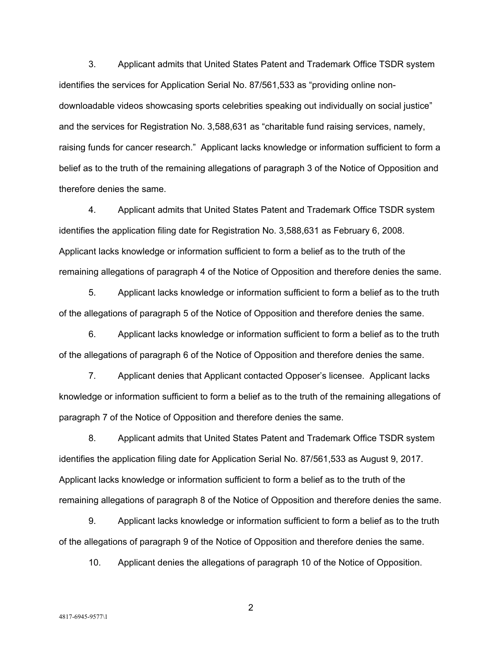3. Applicant admits that United States Patent and Trademark Office TSDR system identifies the services for Application Serial No. 87/561,533 as "providing online nondownloadable videos showcasing sports celebrities speaking out individually on social justice" and the services for Registration No. 3,588,631 as "charitable fund raising services, namely, raising funds for cancer research." Applicant lacks knowledge or information sufficient to form a belief as to the truth of the remaining allegations of paragraph 3 of the Notice of Opposition and therefore denies the same.

4. Applicant admits that United States Patent and Trademark Office TSDR system identifies the application filing date for Registration No. 3,588,631 as February 6, 2008. Applicant lacks knowledge or information sufficient to form a belief as to the truth of the remaining allegations of paragraph 4 of the Notice of Opposition and therefore denies the same.

5. Applicant lacks knowledge or information sufficient to form a belief as to the truth of the allegations of paragraph 5 of the Notice of Opposition and therefore denies the same.

6. Applicant lacks knowledge or information sufficient to form a belief as to the truth of the allegations of paragraph 6 of the Notice of Opposition and therefore denies the same.

7. Applicant denies that Applicant contacted Opposer's licensee. Applicant lacks knowledge or information sufficient to form a belief as to the truth of the remaining allegations of paragraph 7 of the Notice of Opposition and therefore denies the same.

8. Applicant admits that United States Patent and Trademark Office TSDR system identifies the application filing date for Application Serial No. 87/561,533 as August 9, 2017. Applicant lacks knowledge or information sufficient to form a belief as to the truth of the remaining allegations of paragraph 8 of the Notice of Opposition and therefore denies the same.

9. Applicant lacks knowledge or information sufficient to form a belief as to the truth of the allegations of paragraph 9 of the Notice of Opposition and therefore denies the same.

10. Applicant denies the allegations of paragraph 10 of the Notice of Opposition.

2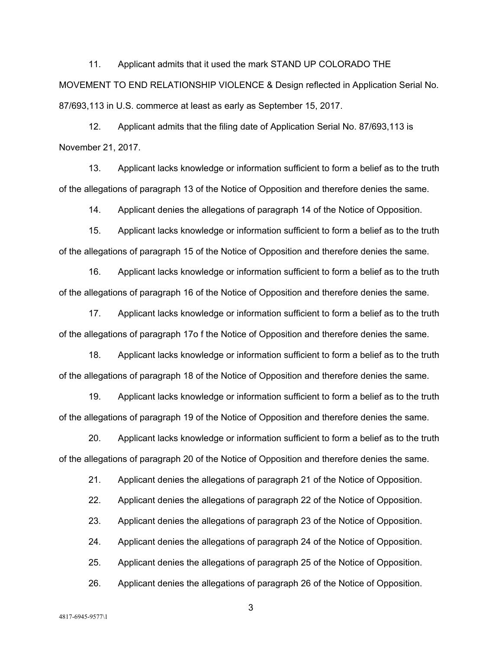11. Applicant admits that it used the mark STAND UP COLORADO THE MOVEMENT TO END RELATIONSHIP VIOLENCE & Design reflected in Application Serial No. 87/693,113 in U.S. commerce at least as early as September 15, 2017.

12. Applicant admits that the filing date of Application Serial No. 87/693,113 is November 21, 2017.

13. Applicant lacks knowledge or information sufficient to form a belief as to the truth of the allegations of paragraph 13 of the Notice of Opposition and therefore denies the same.

14. Applicant denies the allegations of paragraph 14 of the Notice of Opposition.

15. Applicant lacks knowledge or information sufficient to form a belief as to the truth of the allegations of paragraph 15 of the Notice of Opposition and therefore denies the same.

16. Applicant lacks knowledge or information sufficient to form a belief as to the truth of the allegations of paragraph 16 of the Notice of Opposition and therefore denies the same.

17. Applicant lacks knowledge or information sufficient to form a belief as to the truth of the allegations of paragraph 17o f the Notice of Opposition and therefore denies the same.

18. Applicant lacks knowledge or information sufficient to form a belief as to the truth of the allegations of paragraph 18 of the Notice of Opposition and therefore denies the same.

19. Applicant lacks knowledge or information sufficient to form a belief as to the truth of the allegations of paragraph 19 of the Notice of Opposition and therefore denies the same.

20. Applicant lacks knowledge or information sufficient to form a belief as to the truth of the allegations of paragraph 20 of the Notice of Opposition and therefore denies the same.

21. Applicant denies the allegations of paragraph 21 of the Notice of Opposition.

22. Applicant denies the allegations of paragraph 22 of the Notice of Opposition.

23. Applicant denies the allegations of paragraph 23 of the Notice of Opposition.

24. Applicant denies the allegations of paragraph 24 of the Notice of Opposition.

25. Applicant denies the allegations of paragraph 25 of the Notice of Opposition.

26. Applicant denies the allegations of paragraph 26 of the Notice of Opposition.

4817-6945-9577\1

3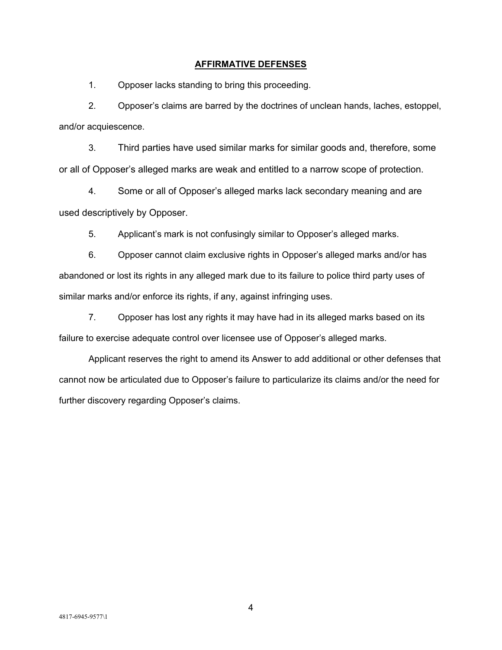### **AFFIRMATIVE DEFENSES**

1. Opposer lacks standing to bring this proceeding.

2. Opposer's claims are barred by the doctrines of unclean hands, laches, estoppel, and/or acquiescence.

3. Third parties have used similar marks for similar goods and, therefore, some or all of Opposer's alleged marks are weak and entitled to a narrow scope of protection.

4. Some or all of Opposer's alleged marks lack secondary meaning and are used descriptively by Opposer.

5. Applicant's mark is not confusingly similar to Opposer's alleged marks.

6. Opposer cannot claim exclusive rights in Opposer's alleged marks and/or has abandoned or lost its rights in any alleged mark due to its failure to police third party uses of similar marks and/or enforce its rights, if any, against infringing uses.

7. Opposer has lost any rights it may have had in its alleged marks based on its failure to exercise adequate control over licensee use of Opposer's alleged marks.

Applicant reserves the right to amend its Answer to add additional or other defenses that cannot now be articulated due to Opposer's failure to particularize its claims and/or the need for further discovery regarding Opposer's claims.

4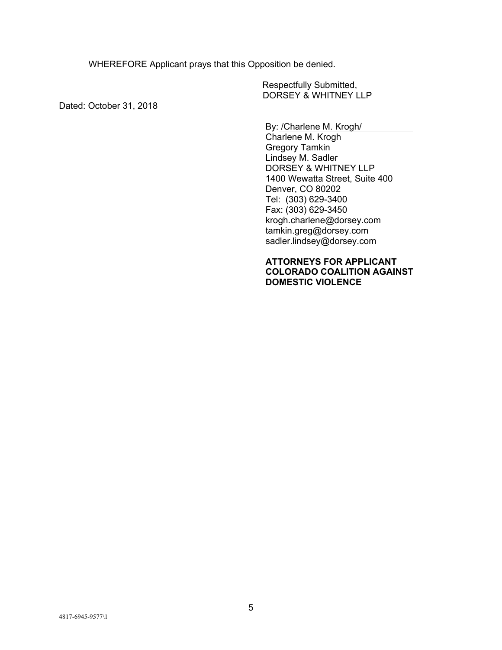WHEREFORE Applicant prays that this Opposition be denied.

Respectfully Submitted, DORSEY & WHITNEY LLP

Dated: October 31, 2018

By: /Charlene M. Krogh/

Charlene M. Krogh Gregory Tamkin Lindsey M. Sadler DORSEY & WHITNEY LLP 1400 Wewatta Street, Suite 400 Denver, CO 80202 Tel: (303) 629-3400 Fax: (303) 629-3450 krogh.charlene@dorsey.com tamkin.greg@dorsey.com sadler.lindsey@dorsey.com

### **ATTORNEYS FOR APPLICANT COLORADO COALITION AGAINST DOMESTIC VIOLENCE**